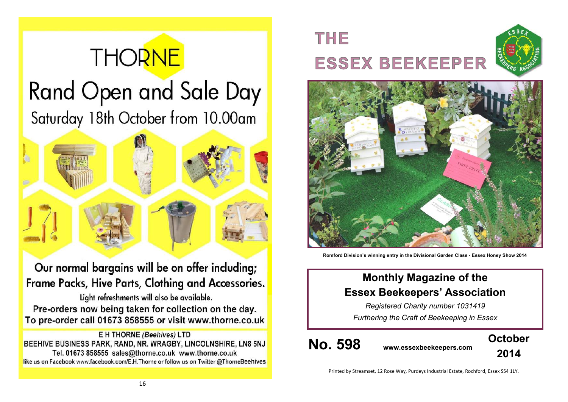# **THORNE Rand Open and Sale Day** Saturday 18th October from 10.00am



Our normal bargains will be on offer including; Frame Packs, Hive Parts, Clothing and Accessories.

Light refreshments will also be available. Pre-orders now being taken for collection on the day. To pre-order call 01673 858555 or visit www.thorne.co.uk

**E H THORNE (Beehives) LTD** BEEHIVE BUSINESS PARK, RAND, NR. WRAGBY, LINCOLNSHIRE, LN8 5NJ Tel. 01673 858555 sales@thorne.co.uk www.thorne.co.uk like us on Facebook www.facebook.com/E.H.Thorne or follow us on Twitter @ThorneBeehives

## THE **ESSEX BEEKEEPER**





**Romford Division's winning entry in the Divisional Garden Class - Essex Honey Show 2014**

## **Monthly Magazine of the Essex Beekeepers' Association**

*Registered Charity number 1031419 Furthering the Craft of Beekeeping in Essex*

**No. 598 www.essexbeekeepers.com**



Printed by Streamset, 12 Rose Way, Purdeys Industrial Estate, Rochford, Essex SS4 1LY.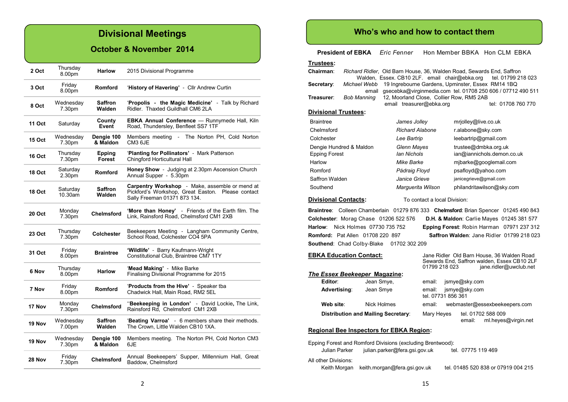## **Divisional Meetings**

#### **October & November 2014**

| 2 Oct         | Thursday<br>8.00pm  | <b>Harlow</b>            | 2015 Divisional Programme                                                                                                           |  |
|---------------|---------------------|--------------------------|-------------------------------------------------------------------------------------------------------------------------------------|--|
| 3 Oct         | Friday<br>8.00pm    | <b>Romford</b>           | 'History of Havering' - Cllr Andrew Curtin                                                                                          |  |
| 8 Oct         | Wednesday<br>7.30pm | Saffron<br>Walden        | 'Propolis - the Magic Medicine' - Talk by Richard<br>Ridler. Thaxted Guildhall CM6 2LA                                              |  |
| 11 Oct        | Saturday            | County<br>Event          | <b>EBKA Annual Conference</b> - Runnymede Hall, Kiln<br>Road, Thundersley, Benfleet SS7 1TF                                         |  |
| <b>15 Oct</b> | Wednesday<br>7.30pm | Dengie 100<br>& Maldon   | Members meeting - The Norton PH, Cold Norton<br>CM3 6JE                                                                             |  |
| 16 Oct        | Thursdav<br>7.30pm  | Epping<br>Forest         | 'Planting for Pollinators' - Mark Patterson<br>Chingford Horticultural Hall                                                         |  |
| 18 Oct        | Saturdav<br>2.30pm  | <b>Romford</b>           | Honey Show - Judging at 2.30pm Ascension Church<br>Annual Supper - 5.30pm                                                           |  |
| <b>18 Oct</b> | Saturdav<br>10.30am | <b>Saffron</b><br>Walden | Carpentry Workshop - Make, assemble or mend at<br>Pickford's Workshop, Great Easton. Please contact<br>Sally Freeman 01371 873 134. |  |
| <b>20 Oct</b> | Monday<br>7.30pm    | <b>Chelmsford</b>        | 'More than Honey' - Friends of the Earth film. The<br>Link, Rainsford Road, Chelmsford CM1 2XB                                      |  |
| 23 Oct        | Thursdav<br>7.30pm  | Colchester               | Beekeepers Meeting - Langham Community Centre,<br>School Road, Colchester CO4 5PA                                                   |  |
| 31 Oct        | Friday<br>8.00pm    | <b>Braintree</b>         | 'Wildlife' - Barry Kaufmann-Wright<br>Constitutional Club. Braintree CM7 1TY                                                        |  |
| 6 Nov         | Thursdav<br>8.00pm  | <b>Harlow</b>            | 'Mead Making' - Mike Barke<br>Finalising Divisional Programme for 2015                                                              |  |
| 7 Nov         | Friday<br>8.00pm    | <b>Romford</b>           | <b>Products from the Hive'</b> - Speaker tba<br>Chadwick Hall, Main Road, RM2 5EL                                                   |  |
| 17 Nov        | Monday<br>7.30pm    | Chelmsford               | "Beekeeping in London' - David Lockie, The Link,<br>Rainsford Rd, Chelmsford CM1 2XB                                                |  |
| 19 Nov        | Wednesday<br>7.00pm | <b>Saffron</b><br>Walden | 'Beating Varroa' - 6 members share their methods.<br>The Crown, Little Walden CB10 1XA.                                             |  |
| 19 Nov        | Wednesday<br>7.30pm | Dengie 100<br>& Maldon   | Members meeting. The Norton PH, Cold Norton CM3<br>6JE                                                                              |  |
| 28 Nov        | Friday<br>7.30pm    | <b>Chelmsford</b>        | Annual Beekeepers' Supper, Millennium Hall, Great<br>Baddow, Chelmsford                                                             |  |

#### **Who's who and how to contact them**

**President of EBKA** *Eric Fenner* Hon Member BBKA Hon CLM EBKA

**Trustees:**

| <u> Trustees:</u>                                          |                                                                              |                               |                                                                                        |                                                   |                                                                                      |  |
|------------------------------------------------------------|------------------------------------------------------------------------------|-------------------------------|----------------------------------------------------------------------------------------|---------------------------------------------------|--------------------------------------------------------------------------------------|--|
| Chairman:                                                  | <i>Richard Ridler, Old Barn House, 36, Walden Road, Sewards End, Saffron</i> |                               |                                                                                        |                                                   |                                                                                      |  |
|                                                            |                                                                              |                               |                                                                                        | Walden, Essex. CB10 2LF. email chair@ebka.org     | tel. 01799 218 023                                                                   |  |
| Secretary:                                                 | Michael Webb<br>email                                                        |                               |                                                                                        | 19 Ingrebourne Gardens, Upminster, Essex RM14 1BQ | gsecebka@virginmedia.com tel. 01708 250 606 / 07712 490 511                          |  |
| Treasurer:                                                 | Bob Manning                                                                  |                               |                                                                                        | 12, Moorland Close, Collier Row, RM5 2AB          |                                                                                      |  |
|                                                            |                                                                              |                               | email treasurer@ebka.org                                                               |                                                   | tel: 01708 760 770                                                                   |  |
| <b>Divisional Trustees:</b>                                |                                                                              |                               |                                                                                        |                                                   |                                                                                      |  |
| <b>Braintree</b>                                           |                                                                              | James Jolley                  |                                                                                        | mrjolley@live.co.uk                               |                                                                                      |  |
| Chelmsford                                                 |                                                                              | <b>Richard Alabone</b>        |                                                                                        | r.alabone@sky.com                                 |                                                                                      |  |
| Colchester                                                 |                                                                              |                               | Lee Bartrip                                                                            |                                                   | leebartrip@gmail.com                                                                 |  |
|                                                            | Dengie Hundred & Maldon                                                      | Glenn Mayes                   |                                                                                        | trustee@dmbka.org.uk                              |                                                                                      |  |
| <b>Epping Forest</b>                                       |                                                                              |                               | <b>Ian Nichols</b>                                                                     |                                                   | ian@iannichols.demon.co.uk                                                           |  |
| Harlow                                                     |                                                                              | Mike Barke                    |                                                                                        |                                                   | mjbarke@googlemail.com                                                               |  |
| Romford                                                    |                                                                              | Pádraig Floyd                 |                                                                                        | psafloyd@yahoo.com                                |                                                                                      |  |
| Saffron Walden                                             |                                                                              | Janice Grieve                 |                                                                                        | janicegrieve@gmail.com                            |                                                                                      |  |
| Southend                                                   |                                                                              | Marquerita Wilson             |                                                                                        |                                                   | philandritawilson@sky.com                                                            |  |
| <b>Divisional Contacts:</b>                                |                                                                              |                               | To contact a local Division:                                                           |                                                   |                                                                                      |  |
|                                                            |                                                                              |                               |                                                                                        |                                                   | Braintree: Colleen Chamberlain 01279 876 333 Chelmsford: Brian Spencer 01245 490 843 |  |
|                                                            | Colchester: Morag Chase 01206 522 576                                        |                               |                                                                                        |                                                   | D.H. & Maldon: Carlie Mayes 01245 381 577                                            |  |
| Harlow:                                                    | Nick Holmes 07730 735 752                                                    |                               |                                                                                        |                                                   | Epping Forest: Robin Harman 07971 237 312                                            |  |
|                                                            | <b>Romford: Pat Allen 01708 220 897</b>                                      |                               |                                                                                        |                                                   | Saffron Walden: Jane Ridler 01799 218 023                                            |  |
|                                                            | Southend: Chad Colby-Blake                                                   | 01702 302 209                 |                                                                                        |                                                   |                                                                                      |  |
|                                                            | <b>EBKA Education Contact:</b>                                               |                               |                                                                                        |                                                   | Jane Ridler Old Barn House, 36 Walden Road                                           |  |
|                                                            |                                                                              |                               | Sewards End, Saffron walden, Essex CB10 2LF<br>01799 218 023<br>jane.ridler@uwclub.net |                                                   |                                                                                      |  |
|                                                            | <b>The Essex Beekeeper Magazine:</b>                                         |                               |                                                                                        |                                                   |                                                                                      |  |
| Editor:                                                    | Jean Smye,                                                                   |                               | email:                                                                                 | jsmye@sky.com                                     |                                                                                      |  |
|                                                            | Advertising:<br>Jean Smye                                                    |                               | email:<br>jsmye@sky.com<br>tel. 07731 856 361                                          |                                                   |                                                                                      |  |
| Web site:                                                  | Nick Holmes                                                                  |                               | email:                                                                                 |                                                   | webmaster@essexbeekeepers.com                                                        |  |
|                                                            | <b>Distribution and Mailing Secretary:</b>                                   |                               | Mary Heyes                                                                             | tel. 01702 588 009<br>email:                      | ml.heyes@virgin.net                                                                  |  |
| <b>Regional Bee Inspectors for EBKA Region:</b>            |                                                                              |                               |                                                                                        |                                                   |                                                                                      |  |
| Epping Forest and Romford Divisions (excluding Brentwood): |                                                                              |                               |                                                                                        |                                                   |                                                                                      |  |
| Julian Parker                                              |                                                                              | julian.parker@fera.gsi.gov.uk |                                                                                        | tel. 07775 119 469                                |                                                                                      |  |
| All other Divisions:                                       |                                                                              |                               |                                                                                        |                                                   |                                                                                      |  |
| Keith Morgan                                               | keith.morgan@fera.gsi.gov.uk                                                 |                               |                                                                                        |                                                   | tel. 01485 520 838 or 07919 004 215                                                  |  |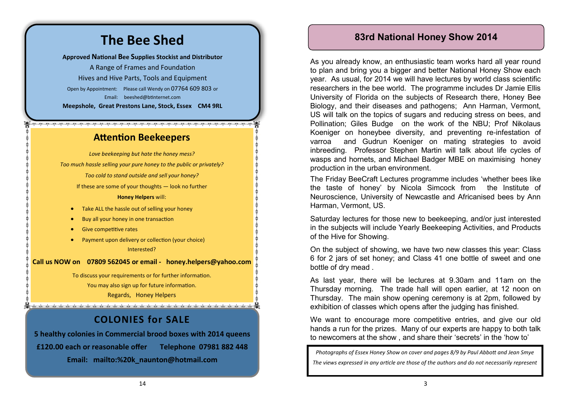#### **83rd National Honey Show 2014**

As you already know, an enthusiastic team works hard all year round to plan and bring you a bigger and better National Honey Show each year. As usual, for 2014 we will have lectures by world class scientific researchers in the bee world. The programme includes Dr Jamie Ellis University of Florida on the subjects of Research there, Honey Bee Biology, and their diseases and pathogens; Ann Harman, Vermont, US will talk on the topics of sugars and reducing stress on bees, and Pollination; Giles Budge on the work of the NBU; Prof Nikolaus Koeniger on honeybee diversity, and preventing re-infestation of varroa and Gudrun Koeniger on mating strategies to avoid inbreeding. Professor Stephen Martin will talk about life cycles of wasps and hornets, and Michael Badger MBE on maximising honey production in the urban environment.

The Friday BeeCraft Lectures programme includes 'whether bees like the taste of honey' by Nicola Simcock from the Institute of Neuroscience, University of Newcastle and Africanised bees by Ann Harman, Vermont, US.

Saturday lectures for those new to beekeeping, and/or just interested in the subjects will include Yearly Beekeeping Activities, and Products of the Hive for Showing.

On the subject of showing, we have two new classes this year: Class 6 for 2 jars of set honey; and Class 41 one bottle of sweet and one bottle of dry mead .

As last year, there will be lectures at 9.30am and 11am on the Thursday morning. The trade hall will open earlier, at 12 noon on Thursday. The main show opening ceremony is at 2pm, followed by exhibition of classes which opens after the judging has finished.

We want to encourage more competitive entries, and give our old hands a run for the prizes. Many of our experts are happy to both talk to newcomers at the show , and share their 'secrets' in the 'how to'

*Photographs of Essex Honey Show on cover and pages 8/9 by Paul Abbott and Jean Smye The views expressed in any article are those of the authors and do not necessarily represent* 

## **The Bee Shed**

**Approved National Bee Supplies Stockist and Distributor**

A Range of Frames and Foundation Hives and Hive Parts, Tools and Equipment Open by Appointment: Please call Wendy on 07764 609 803 or Email: [beeshed@btinternet.com](mailto:beeshed@btinternet.com) **Meepshole, Great Prestons Lane, Stock, Essex CM4 9RL**

#### **Attention Beekeepers**

*Love beekeeping but hate the honey mess? Too much hassle selling your pure honey to the public or privately? Too cold to stand outside and sell your honey?* If these are some of your thoughts — look no further **Honey Helpers** will: • Take ALL the hassle out of selling your honey

- Buy all your honey in one transaction
- Give competitive rates
- Payment upon delivery or collection (your choice) Interested?

**Call us NOW on 07809 562045 or email - [honey.helpers@yahoo.com](mailto:honey.helpers@yahoo.com)**

To discuss your requirements or for further information. You may also sign up for future information. Regards, Honey Helpers

## **COLONIES for SALE**

and the direction direction direction direction direction direction direction direction direction direction direction direction direction direction direction direction direction direction direction direction direction dire

**5 healthy colonies in Commercial brood boxes with 2014 queens £120.00 each or reasonable offer Telephone 07981 882 448 Email: mailto:%20k\_naunton@hotmail.com**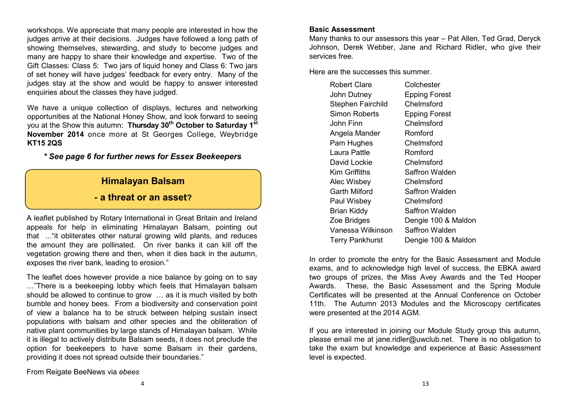workshops. We appreciate that many people are interested in how the judges arrive at their decisions. Judges have followed a long path of showing themselves, stewarding, and study to become judges and many are happy to share their knowledge and expertise. Two of the Gift Classes: Class 5: Two jars of liquid honey and Class 6: Two jars of set honey will have judges' feedback for every entry. Many of the judges stay at the show and would be happy to answer interested enquiries about the classes they have judged.

We have a unique collection of displays, lectures and networking opportunities at the National Honey Show, and look forward to seeing you at the Show this autumn: **Thursday 30th October to Saturday 1st November 2014** once more at St Georges College, Weybridge **KT15 2QS**

#### *\* See page 6 for further news for Essex Beekeepers*

#### **Himalayan Balsam**

#### **- a threat or an asset?**

A leaflet published by Rotary International in Great Britain and Ireland appeals for help in eliminating Himalayan Balsam, pointing out that ..."it obliterates other natural growing wild plants, and reduces the amount they are pollinated. On river banks it can kill off the vegetation growing there and then, when it dies back in the autumn, exposes the river bank, leading to erosion."

The leaflet does however provide a nice balance by going on to say …"There is a beekeeping lobby which feels that Himalayan balsam should be allowed to continue to grow … as it is much visited by both bumble and honey bees. From a biodiversity and conservation point of view a balance ha to be struck between helping sustain insect populations with balsam and other species and the obliteration of native plant communities by large stands of Himalayan balsam. While it is illegal to actively distribute Balsam seeds, it does not preclude the option for beekeepers to have some Balsam in their gardens, providing it does not spread outside their boundaries."

#### **Basic Assessment**

Many thanks to our assessors this year – Pat Allen, Ted Grad, Deryck Johnson, Derek Webber, Jane and Richard Ridler, who give their services free.

Here are the successes this summer.

| Robert Clare             | Colchester           |
|--------------------------|----------------------|
| John Dutney              | <b>Epping Forest</b> |
| <b>Stephen Fairchild</b> | Chelmsford           |
| Simon Roberts            | <b>Epping Forest</b> |
| John Finn                | Chelmsford           |
| Angela Mander            | Romford              |
| Pam Hughes               | Chelmsford           |
| Laura Pattle             | Romford              |
| David Lockie             | Chelmsford           |
| Kim Griffiths            | Saffron Walden       |
| Alec Wisbey              | Chelmsford           |
| Garth Milford            | Saffron Walden       |
| Paul Wisbey              | Chelmsford           |
| <b>Brian Kiddy</b>       | Saffron Walden       |
| Zoe Bridges              | Dengie 100 & Maldon  |
| Vanessa Wilkinson        | Saffron Walden       |
| <b>Terry Pankhurst</b>   | Dengie 100 & Maldon  |

In order to promote the entry for the Basic Assessment and Module exams, and to acknowledge high level of success, the EBKA award two groups of prizes, the Miss Avey Awards and the Ted Hooper Awards. These, the Basic Assessment and the Spring Module Certificates will be presented at the Annual Conference on October 11th. The Autumn 2013 Modules and the Microscopy certificates were presented at the 2014 AGM.

If you are interested in joining our Module Study group this autumn, please email me at [jane.ridler@uwclub.net.](mailto:jane.ridler@uwclub.net) There is no obligation to take the exam but knowledge and experience at Basic Assessment level is expected.

From Reigate BeeNews via *ebees*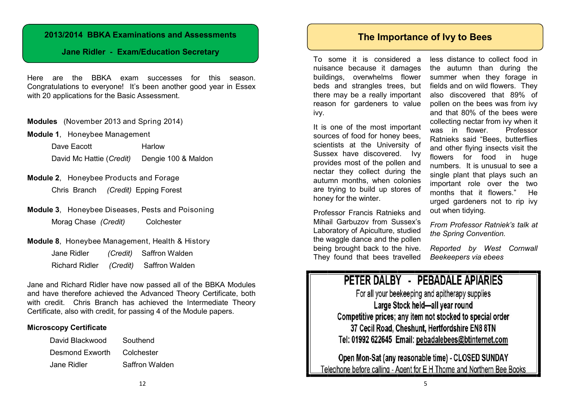#### **2013/2014 BBKA Examinations and Assessments**

#### **Jane Ridler - Exam/Education Secretary**

Here are the BBKA exam successes for this season. Congratulations to everyone! It's been another good year in Essex with 20 applications for the Basic Assessment.

**Modules** (November 2013 and Spring 2014)

**Module 1**, Honeybee Management

Dave Eacott Harlow

David Mc Hattie (*Credit)* Dengie 100 & Maldon

- **Module 2**, Honeybee Products and Forage Chris Branch *(Credit)* Epping Forest
- **Module 3**, Honeybee Diseases, Pests and Poisoning Morag Chase *(Credit)* Colchester

#### **Module 8**, Honeybee Management, Health & History

| Jane Ridler    | (Credit) | Saffron Walden |
|----------------|----------|----------------|
| Richard Ridler | (Credit) | Saffron Walden |

Jane and Richard Ridler have now passed all of the BBKA Modules and have therefore achieved the Advanced Theory Certificate, both with credit. Chris Branch has achieved the Intermediate Theory Certificate, also with credit, for passing 4 of the Module papers.

#### **Microscopy Certificate**

| David Blackwood | Southend       |
|-----------------|----------------|
| Desmond Exworth | Colchester     |
| Jane Ridler     | Saffron Walden |

#### **The Importance of Ivy to Bees**

To some it is considered a nuisance because it damages buildings, overwhelms flower beds and strangles trees, but there may be a really important reason for gardeners to value ivy.

It is one of the most important sources of food for honey bees, scientists at the University of Sussex have discovered. Ivy provides most of the pollen and nectar they collect during the autumn months, when colonies are trying to build up stores of honey for the winter.

Professor Francis Ratnieks and Mihail Garbuzov from Sussex's Laboratory of Apiculture, studied the waggle dance and the pollen being brought back to the hive. They found that bees travelled

less distance to collect food in the autumn than during the summer when they forage in fields and on wild flowers. They also discovered that 89% of pollen on the bees was from ivy and that 80% of the bees were collecting nectar from ivy when it was in flower. Professor Ratnieks said "Bees, butterflies and other flying insects visit the flowers for food in huge numbers. It is unusual to see a single plant that plays such an important role over the two months that it flowers." He urged gardeners not to rip ivy out when tidying.

*From Professor Ratniek's talk at the Spring Convention.*

*Reported by West Cornwall Beekeepers via ebees*

## PETER DALBY - PEBADALE APIARIES

For all your beekeeping and apitherapy supplies Large Stock held-all year round Competitive prices; any item not stocked to special order 37 Cecil Road, Cheshunt, Hertfordshire EN8 8TN Tel: 01992 622645 Email: pebadalebees@btinternet.com

Open Mon-Sat (any reasonable time) - CLOSED SUNDAY Telephone before calling - Agent for E H Thorne and Northern Bee Books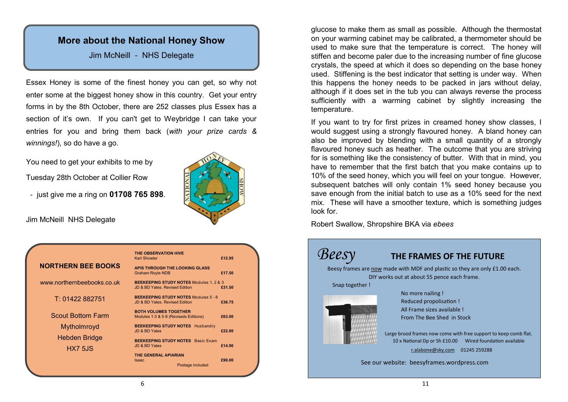## **More about the National Honey Show**

#### Jim McNeill - NHS Delegate

Essex Honey is some of the finest honey you can get, so why not enter some at the biggest honey show in this country. Get your entry forms in by the 8th October, there are 252 classes plus Essex has a section of it's own. If you can't get to Weybridge I can take your entries for you and bring them back (*with your prize cards & winnings!*), so do have a go.

You need to get your exhibits to me by

Tuesday 28th October at Collier Row

- just give me a ring on **01708 765 898**.

Jim McNeill NHS Delegate



|                            | THE OBSERVATION HIVE<br><b>Karl Showler</b>                                          | £12.95 |
|----------------------------|--------------------------------------------------------------------------------------|--------|
| <b>NORTHERN BEE BOOKS</b>  | APIS THROUGH THE LOOKING GLASS<br><b>Graham Royle NDB</b>                            | £17.50 |
| www.northernbeebooks.co.uk | <b>BEEKEEPING STUDY NOTES Modules 1, 2 &amp; 3</b><br>JD & BD Yates, Revised Edition | £31.50 |
| T: 01422 882751            | <b>BEEKEEPING STUDY NOTES Modules 5 - 8</b><br>JD & BD Yates, Revised Edition        | £36.75 |
| <b>Scout Bottom Farm</b>   | <b>BOTH VOLUMES TOGETHER</b><br>Modules 1-3 & 5-8 (Revisedx Editions)                | £63.00 |
| Mytholmroyd                | BEEKEEPING STUDY NOTES Husbandry<br>JD & BD Yates                                    | £22.00 |
| Hebden Bridge              | <b>BEEKEEPING STUDY NOTES</b> Basic Exam                                             |        |
| <b>HX7 5JS</b>             | JD & BD Yates<br>THE GENERAL APIARIAN                                                | £14.90 |
|                            | <b>Isaac</b><br>Postage included                                                     | £90.00 |
|                            |                                                                                      |        |

glucose to make them as small as possible. Although the thermostat on your warming cabinet may be calibrated, a thermometer should be used to make sure that the temperature is correct. The honey will stiffen and become paler due to the increasing number of fine glucose crystals, the speed at which it does so depending on the base honey used. Stiffening is the best indicator that setting is under way. When this happens the honey needs to be packed in jars without delay, although if it does set in the tub you can always reverse the process sufficiently with a warming cabinet by slightly increasing the temperature.

If you want to try for first prizes in creamed honey show classes, I would suggest using a strongly flavoured honey. A bland honey can also be improved by blending with a small quantity of a strongly flavoured honey such as heather. The outcome that you are striving for is something like the consistency of butter. With that in mind, you have to remember that the first batch that you make contains up to 10% of the seed honey, which you will feel on your tongue. However, subsequent batches will only contain 1% seed honey because you save enough from the initial batch to use as a 10% seed for the next mix. These will have a smoother texture, which is something judges look for.

Robert Swallow, Shropshire BKA via *ebees*

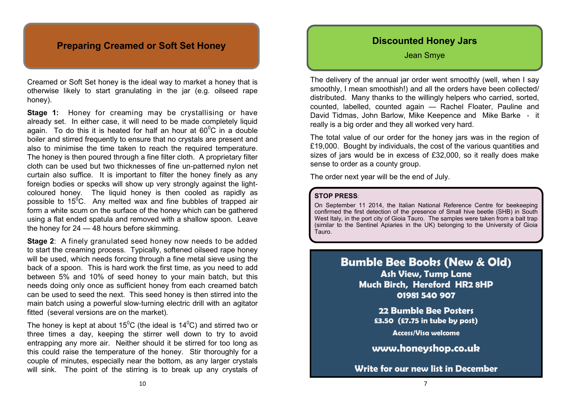#### **Preparing Creamed or Soft Set Honey**

Creamed or Soft Set honey is the ideal way to market a honey that is otherwise likely to start granulating in the jar (e.g. oilseed rape honey).

**Stage 1:** Honey for creaming may be crystallising or have already set. In either case, it will need to be made completely liquid again. To do this it is heated for half an hour at  $60^{\circ}$ C in a double boiler and stirred frequently to ensure that no crystals are present and also to minimise the time taken to reach the required temperature. The honey is then poured through a fine filter cloth. A proprietary filter cloth can be used but two thicknesses of fine un-patterned nylon net curtain also suffice. It is important to filter the honey finely as any foreign bodies or specks will show up very strongly against the lightcoloured honey. The liquid honey is then cooled as rapidly as possible to  $15^{\circ}$ C. Any melted wax and fine bubbles of trapped air form a white scum on the surface of the honey which can be gathered using a flat ended spatula and removed with a shallow spoon. Leave the honey for 24 — 48 hours before skimming.

**Stage 2**: A finely granulated seed honey now needs to be added to start the creaming process. Typically, softened oilseed rape honey will be used, which needs forcing through a fine metal sieve using the back of a spoon. This is hard work the first time, as you need to add between 5% and 10% of seed honey to your main batch, but this needs doing only once as sufficient honey from each creamed batch can be used to seed the next. This seed honey is then stirred into the main batch using a powerful slow-turning electric drill with an agitator fitted (several versions are on the market).

The honey is kept at about  $15^{\circ}$ C (the ideal is  $14^{\circ}$ C) and stirred two or three times a day, keeping the stirrer well down to try to avoid entrapping any more air. Neither should it be stirred for too long as this could raise the temperature of the honey. Stir thoroughly for a couple of minutes, especially near the bottom, as any larger crystals will sink. The point of the stirring is to break up any crystals of

#### **Discounted Honey Jars**

Jean Smye

The delivery of the annual jar order went smoothly (well, when I say smoothly, I mean smoothish!) and all the orders have been collected/ distributed. Many thanks to the willingly helpers who carried, sorted, counted, labelled, counted again — Rachel Floater, Pauline and David Tidmas, John Barlow, Mike Keepence and Mike Barke - it really is a big order and they all worked very hard.

The total value of our order for the honey jars was in the region of £19,000. Bought by individuals, the cost of the various quantities and sizes of jars would be in excess of £32,000, so it really does make sense to order as a county group.

The order next year will be the end of July.

#### **STOP PRESS**:

On September 11 2014, the Italian National Reference Centre for beekeeping confirmed the first detection of the presence of Small hive beetle (SHB) in South West Italy, in the port city of Gioia Tauro. The samples were taken from a bait trap (similar to the Sentinel Apiaries in the UK) belonging to the University of Gioia Tauro.

## **Bumble Bee Books (New & Old)**

**Ash View, Tump Lane Much Birch, Hereford HR2 8HP 01981 540 907**

> **22 Bumble Bee Posters £3.50 (£7.75 in tube by post)**

> > **Access/Visa welcome**

**[www.honeyshop.co.uk](http://www.honeyshop.co.uk)**

**Write for our new list in December**